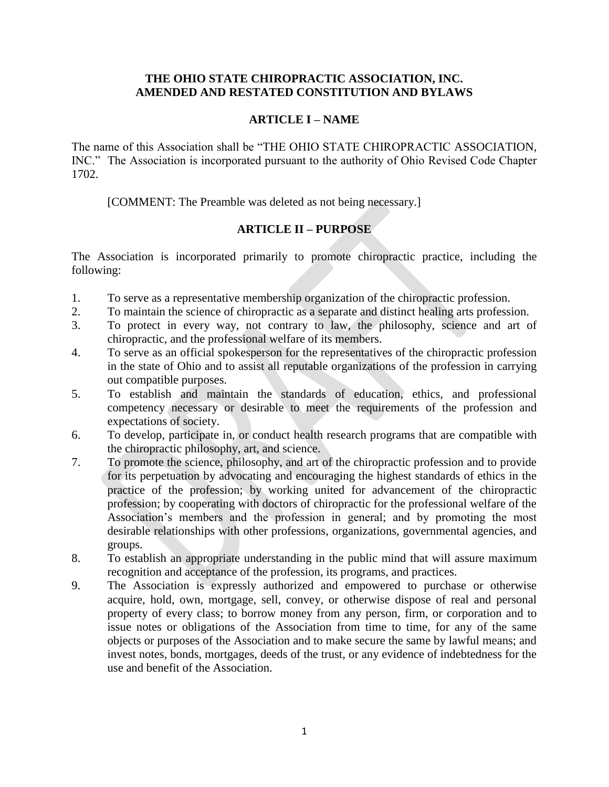## **THE OHIO STATE CHIROPRACTIC ASSOCIATION, INC. AMENDED AND RESTATED CONSTITUTION AND BYLAWS**

## **ARTICLE I – NAME**

The name of this Association shall be "THE OHIO STATE CHIROPRACTIC ASSOCIATION, INC." The Association is incorporated pursuant to the authority of Ohio Revised Code Chapter 1702.

[COMMENT: The Preamble was deleted as not being necessary.]

# **ARTICLE II – PURPOSE**

The Association is incorporated primarily to promote chiropractic practice, including the following:

- 1. To serve as a representative membership organization of the chiropractic profession.
- 2. To maintain the science of chiropractic as a separate and distinct healing arts profession.
- 3. To protect in every way, not contrary to law, the philosophy, science and art of chiropractic, and the professional welfare of its members.
- 4. To serve as an official spokesperson for the representatives of the chiropractic profession in the state of Ohio and to assist all reputable organizations of the profession in carrying out compatible purposes.
- 5. To establish and maintain the standards of education, ethics, and professional competency necessary or desirable to meet the requirements of the profession and expectations of society.
- 6. To develop, participate in, or conduct health research programs that are compatible with the chiropractic philosophy, art, and science.
- 7. To promote the science, philosophy, and art of the chiropractic profession and to provide for its perpetuation by advocating and encouraging the highest standards of ethics in the practice of the profession; by working united for advancement of the chiropractic profession; by cooperating with doctors of chiropractic for the professional welfare of the Association's members and the profession in general; and by promoting the most desirable relationships with other professions, organizations, governmental agencies, and groups.
- 8. To establish an appropriate understanding in the public mind that will assure maximum recognition and acceptance of the profession, its programs, and practices.
- 9. The Association is expressly authorized and empowered to purchase or otherwise acquire, hold, own, mortgage, sell, convey, or otherwise dispose of real and personal property of every class; to borrow money from any person, firm, or corporation and to issue notes or obligations of the Association from time to time, for any of the same objects or purposes of the Association and to make secure the same by lawful means; and invest notes, bonds, mortgages, deeds of the trust, or any evidence of indebtedness for the use and benefit of the Association.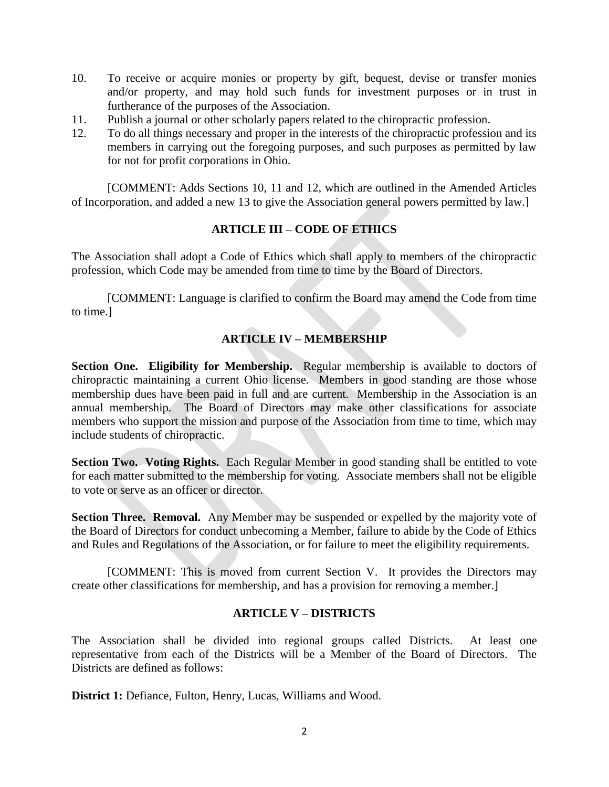- 10. To receive or acquire monies or property by gift, bequest, devise or transfer monies and/or property, and may hold such funds for investment purposes or in trust in furtherance of the purposes of the Association.
- 11. Publish a journal or other scholarly papers related to the chiropractic profession.
- 12. To do all things necessary and proper in the interests of the chiropractic profession and its members in carrying out the foregoing purposes, and such purposes as permitted by law for not for profit corporations in Ohio.

[COMMENT: Adds Sections 10, 11 and 12, which are outlined in the Amended Articles of Incorporation, and added a new 13 to give the Association general powers permitted by law.]

# **ARTICLE III – CODE OF ETHICS**

The Association shall adopt a Code of Ethics which shall apply to members of the chiropractic profession, which Code may be amended from time to time by the Board of Directors.

[COMMENT: Language is clarified to confirm the Board may amend the Code from time to time.]

# **ARTICLE IV – MEMBERSHIP**

**Section One. Eligibility for Membership.** Regular membership is available to doctors of chiropractic maintaining a current Ohio license. Members in good standing are those whose membership dues have been paid in full and are current. Membership in the Association is an annual membership. The Board of Directors may make other classifications for associate members who support the mission and purpose of the Association from time to time, which may include students of chiropractic.

**Section Two. Voting Rights.** Each Regular Member in good standing shall be entitled to vote for each matter submitted to the membership for voting. Associate members shall not be eligible to vote or serve as an officer or director.

**Section Three. Removal.** Any Member may be suspended or expelled by the majority vote of the Board of Directors for conduct unbecoming a Member, failure to abide by the Code of Ethics and Rules and Regulations of the Association, or for failure to meet the eligibility requirements.

[COMMENT: This is moved from current Section V. It provides the Directors may create other classifications for membership, and has a provision for removing a member.]

## **ARTICLE V – DISTRICTS**

The Association shall be divided into regional groups called Districts. At least one representative from each of the Districts will be a Member of the Board of Directors. The Districts are defined as follows:

**District 1:** Defiance, Fulton, Henry, Lucas, Williams and Wood.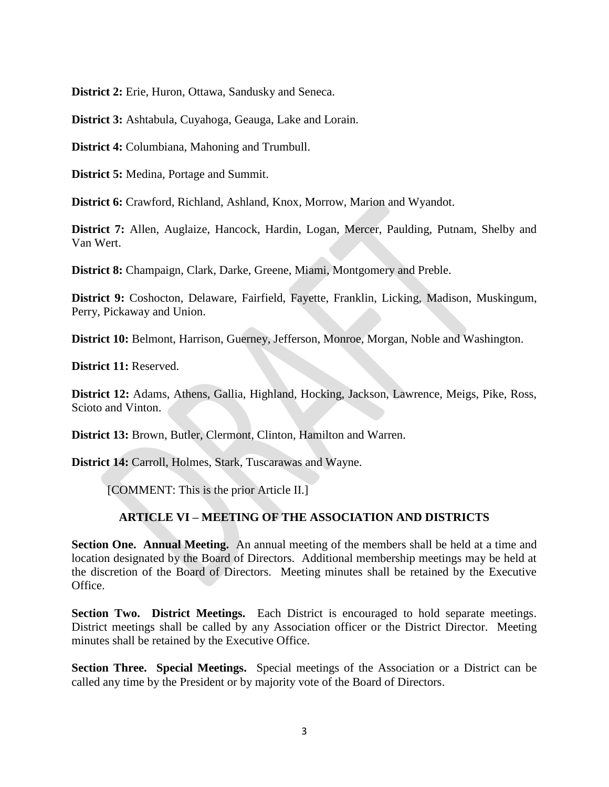**District 2:** Erie, Huron, Ottawa, Sandusky and Seneca.

**District 3:** Ashtabula, Cuyahoga, Geauga, Lake and Lorain.

**District 4:** Columbiana, Mahoning and Trumbull.

**District 5:** Medina, Portage and Summit.

**District 6:** Crawford, Richland, Ashland, Knox, Morrow, Marion and Wyandot.

**District 7:** Allen, Auglaize, Hancock, Hardin, Logan, Mercer, Paulding, Putnam, Shelby and Van Wert.

**District 8:** Champaign, Clark, Darke, Greene, Miami, Montgomery and Preble.

**District 9:** Coshocton, Delaware, Fairfield, Fayette, Franklin, Licking, Madison, Muskingum, Perry, Pickaway and Union.

**District 10:** Belmont, Harrison, Guerney, Jefferson, Monroe, Morgan, Noble and Washington.

**District 11:** Reserved.

**District 12:** Adams, Athens, Gallia, Highland, Hocking, Jackson, Lawrence, Meigs, Pike, Ross, Scioto and Vinton.

**District 13:** Brown, Butler, Clermont, Clinton, Hamilton and Warren.

**District 14:** Carroll, Holmes, Stark, Tuscarawas and Wayne.

[COMMENT: This is the prior Article II.]

## **ARTICLE VI – MEETING OF THE ASSOCIATION AND DISTRICTS**

**Section One. Annual Meeting.** An annual meeting of the members shall be held at a time and location designated by the Board of Directors. Additional membership meetings may be held at the discretion of the Board of Directors. Meeting minutes shall be retained by the Executive Office.

**Section Two. District Meetings.** Each District is encouraged to hold separate meetings. District meetings shall be called by any Association officer or the District Director. Meeting minutes shall be retained by the Executive Office.

**Section Three. Special Meetings.** Special meetings of the Association or a District can be called any time by the President or by majority vote of the Board of Directors.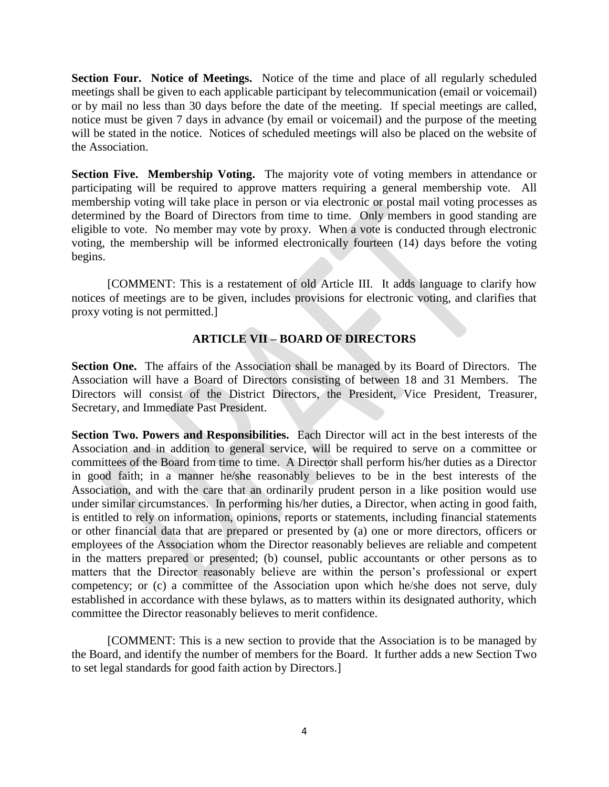**Section Four. Notice of Meetings.** Notice of the time and place of all regularly scheduled meetings shall be given to each applicable participant by telecommunication (email or voicemail) or by mail no less than 30 days before the date of the meeting. If special meetings are called, notice must be given 7 days in advance (by email or voicemail) and the purpose of the meeting will be stated in the notice. Notices of scheduled meetings will also be placed on the website of the Association.

**Section Five. Membership Voting.** The majority vote of voting members in attendance or participating will be required to approve matters requiring a general membership vote. All membership voting will take place in person or via electronic or postal mail voting processes as determined by the Board of Directors from time to time. Only members in good standing are eligible to vote. No member may vote by proxy. When a vote is conducted through electronic voting, the membership will be informed electronically fourteen (14) days before the voting begins.

[COMMENT: This is a restatement of old Article III. It adds language to clarify how notices of meetings are to be given, includes provisions for electronic voting, and clarifies that proxy voting is not permitted.]

# **ARTICLE VII – BOARD OF DIRECTORS**

**Section One.** The affairs of the Association shall be managed by its Board of Directors. The Association will have a Board of Directors consisting of between 18 and 31 Members. The Directors will consist of the District Directors, the President, Vice President, Treasurer, Secretary, and Immediate Past President.

**Section Two. Powers and Responsibilities.** Each Director will act in the best interests of the Association and in addition to general service, will be required to serve on a committee or committees of the Board from time to time. A Director shall perform his/her duties as a Director in good faith; in a manner he/she reasonably believes to be in the best interests of the Association, and with the care that an ordinarily prudent person in a like position would use under similar circumstances. In performing his/her duties, a Director, when acting in good faith, is entitled to rely on information, opinions, reports or statements, including financial statements or other financial data that are prepared or presented by (a) one or more directors, officers or employees of the Association whom the Director reasonably believes are reliable and competent in the matters prepared or presented; (b) counsel, public accountants or other persons as to matters that the Director reasonably believe are within the person's professional or expert competency; or (c) a committee of the Association upon which he/she does not serve, duly established in accordance with these bylaws, as to matters within its designated authority, which committee the Director reasonably believes to merit confidence.

[COMMENT: This is a new section to provide that the Association is to be managed by the Board, and identify the number of members for the Board. It further adds a new Section Two to set legal standards for good faith action by Directors.]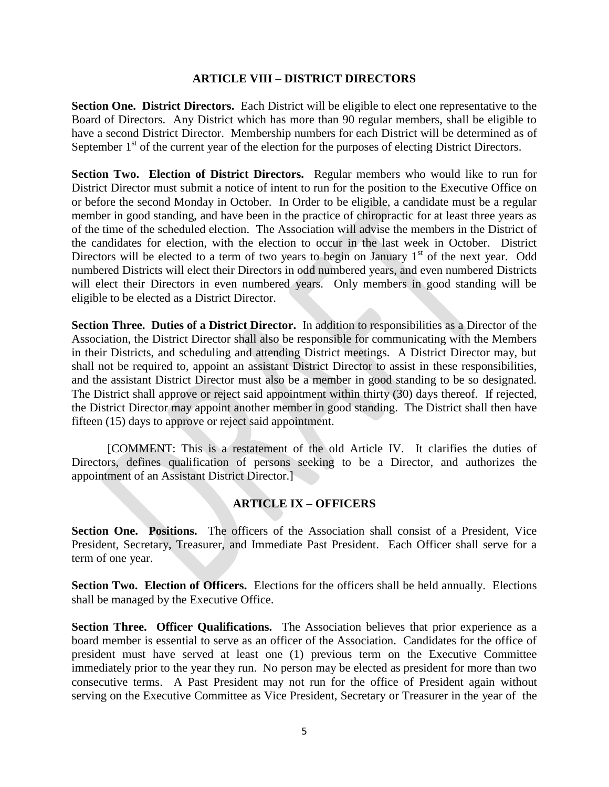#### **ARTICLE VIII – DISTRICT DIRECTORS**

**Section One. District Directors.** Each District will be eligible to elect one representative to the Board of Directors. Any District which has more than 90 regular members, shall be eligible to have a second District Director. Membership numbers for each District will be determined as of September  $1<sup>st</sup>$  of the current year of the election for the purposes of electing District Directors.

**Section Two. Election of District Directors.** Regular members who would like to run for District Director must submit a notice of intent to run for the position to the Executive Office on or before the second Monday in October. In Order to be eligible, a candidate must be a regular member in good standing, and have been in the practice of chiropractic for at least three years as of the time of the scheduled election. The Association will advise the members in the District of the candidates for election, with the election to occur in the last week in October. District Directors will be elected to a term of two years to begin on January  $1<sup>st</sup>$  of the next year. Odd numbered Districts will elect their Directors in odd numbered years, and even numbered Districts will elect their Directors in even numbered years. Only members in good standing will be eligible to be elected as a District Director.

**Section Three. Duties of a District Director.** In addition to responsibilities as a Director of the Association, the District Director shall also be responsible for communicating with the Members in their Districts, and scheduling and attending District meetings. A District Director may, but shall not be required to, appoint an assistant District Director to assist in these responsibilities, and the assistant District Director must also be a member in good standing to be so designated. The District shall approve or reject said appointment within thirty (30) days thereof. If rejected, the District Director may appoint another member in good standing. The District shall then have fifteen (15) days to approve or reject said appointment.

[COMMENT: This is a restatement of the old Article IV. It clarifies the duties of Directors, defines qualification of persons seeking to be a Director, and authorizes the appointment of an Assistant District Director.]

## **ARTICLE IX – OFFICERS**

**Section One. Positions.** The officers of the Association shall consist of a President, Vice President, Secretary, Treasurer, and Immediate Past President. Each Officer shall serve for a term of one year.

**Section Two. Election of Officers.** Elections for the officers shall be held annually. Elections shall be managed by the Executive Office.

**Section Three. Officer Qualifications.** The Association believes that prior experience as a board member is essential to serve as an officer of the Association. Candidates for the office of president must have served at least one (1) previous term on the Executive Committee immediately prior to the year they run. No person may be elected as president for more than two consecutive terms. A Past President may not run for the office of President again without serving on the Executive Committee as Vice President, Secretary or Treasurer in the year of the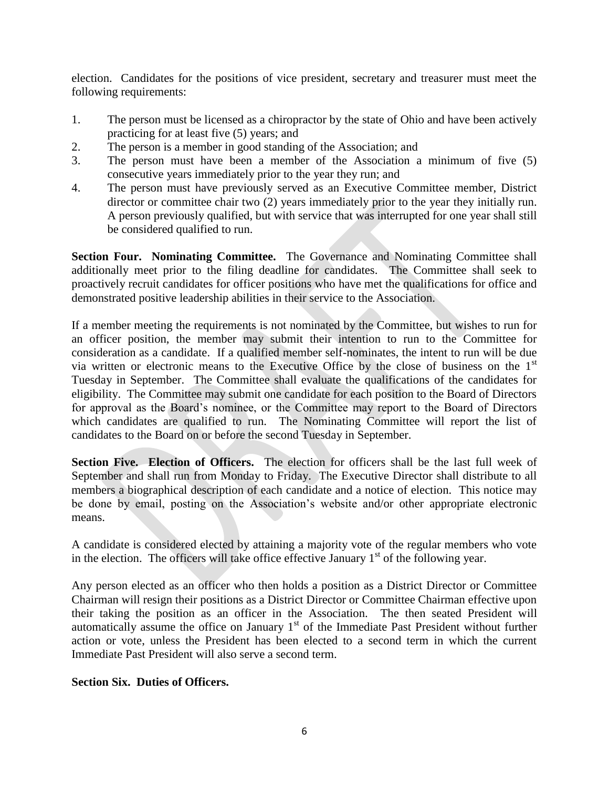election. Candidates for the positions of vice president, secretary and treasurer must meet the following requirements:

- 1. The person must be licensed as a chiropractor by the state of Ohio and have been actively practicing for at least five (5) years; and
- 2. The person is a member in good standing of the Association; and
- 3. The person must have been a member of the Association a minimum of five (5) consecutive years immediately prior to the year they run; and
- 4. The person must have previously served as an Executive Committee member, District director or committee chair two (2) years immediately prior to the year they initially run. A person previously qualified, but with service that was interrupted for one year shall still be considered qualified to run.

**Section Four. Nominating Committee.** The Governance and Nominating Committee shall additionally meet prior to the filing deadline for candidates. The Committee shall seek to proactively recruit candidates for officer positions who have met the qualifications for office and demonstrated positive leadership abilities in their service to the Association.

If a member meeting the requirements is not nominated by the Committee, but wishes to run for an officer position, the member may submit their intention to run to the Committee for consideration as a candidate. If a qualified member self-nominates, the intent to run will be due via written or electronic means to the Executive Office by the close of business on the 1st Tuesday in September. The Committee shall evaluate the qualifications of the candidates for eligibility. The Committee may submit one candidate for each position to the Board of Directors for approval as the Board's nominee, or the Committee may report to the Board of Directors which candidates are qualified to run. The Nominating Committee will report the list of candidates to the Board on or before the second Tuesday in September.

**Section Five. Election of Officers.** The election for officers shall be the last full week of September and shall run from Monday to Friday. The Executive Director shall distribute to all members a biographical description of each candidate and a notice of election. This notice may be done by email, posting on the Association's website and/or other appropriate electronic means.

A candidate is considered elected by attaining a majority vote of the regular members who vote in the election. The officers will take office effective January  $1<sup>st</sup>$  of the following year.

Any person elected as an officer who then holds a position as a District Director or Committee Chairman will resign their positions as a District Director or Committee Chairman effective upon their taking the position as an officer in the Association. The then seated President will automatically assume the office on January  $1<sup>st</sup>$  of the Immediate Past President without further action or vote, unless the President has been elected to a second term in which the current Immediate Past President will also serve a second term.

## **Section Six. Duties of Officers.**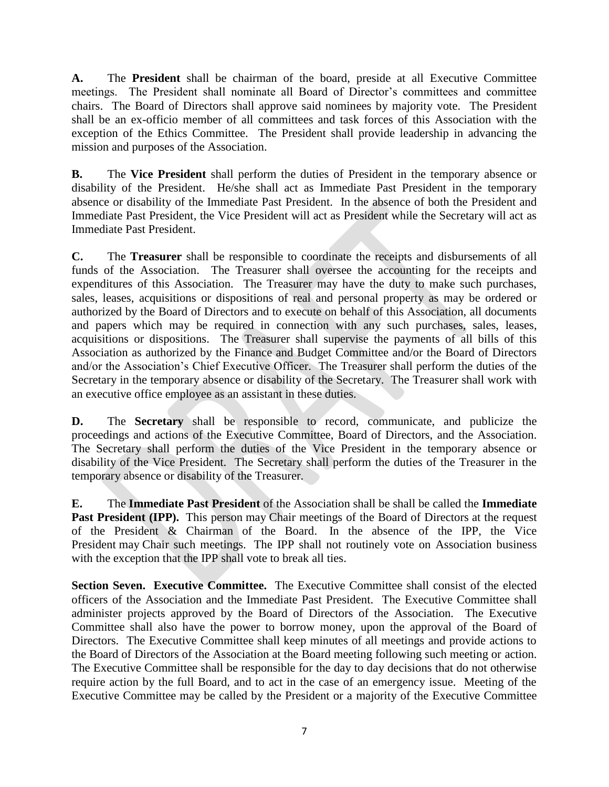**A.** The **President** shall be chairman of the board, preside at all Executive Committee meetings. The President shall nominate all Board of Director's committees and committee chairs. The Board of Directors shall approve said nominees by majority vote. The President shall be an ex-officio member of all committees and task forces of this Association with the exception of the Ethics Committee. The President shall provide leadership in advancing the mission and purposes of the Association.

**B.** The **Vice President** shall perform the duties of President in the temporary absence or disability of the President. He/she shall act as Immediate Past President in the temporary absence or disability of the Immediate Past President. In the absence of both the President and Immediate Past President, the Vice President will act as President while the Secretary will act as Immediate Past President.

**C.** The **Treasurer** shall be responsible to coordinate the receipts and disbursements of all funds of the Association. The Treasurer shall oversee the accounting for the receipts and expenditures of this Association. The Treasurer may have the duty to make such purchases, sales, leases, acquisitions or dispositions of real and personal property as may be ordered or authorized by the Board of Directors and to execute on behalf of this Association, all documents and papers which may be required in connection with any such purchases, sales, leases, acquisitions or dispositions. The Treasurer shall supervise the payments of all bills of this Association as authorized by the Finance and Budget Committee and/or the Board of Directors and/or the Association's Chief Executive Officer. The Treasurer shall perform the duties of the Secretary in the temporary absence or disability of the Secretary. The Treasurer shall work with an executive office employee as an assistant in these duties.

**D.** The **Secretary** shall be responsible to record, communicate, and publicize the proceedings and actions of the Executive Committee, Board of Directors, and the Association. The Secretary shall perform the duties of the Vice President in the temporary absence or disability of the Vice President. The Secretary shall perform the duties of the Treasurer in the temporary absence or disability of the Treasurer.

**E.** The **Immediate Past President** of the Association shall be shall be called the **Immediate Past President (IPP).** This person may Chair meetings of the Board of Directors at the request of the President & Chairman of the Board. In the absence of the IPP, the Vice President may Chair such meetings. The IPP shall not routinely vote on Association business with the exception that the IPP shall vote to break all ties.

**Section Seven. Executive Committee.** The Executive Committee shall consist of the elected officers of the Association and the Immediate Past President. The Executive Committee shall administer projects approved by the Board of Directors of the Association. The Executive Committee shall also have the power to borrow money, upon the approval of the Board of Directors. The Executive Committee shall keep minutes of all meetings and provide actions to the Board of Directors of the Association at the Board meeting following such meeting or action. The Executive Committee shall be responsible for the day to day decisions that do not otherwise require action by the full Board, and to act in the case of an emergency issue. Meeting of the Executive Committee may be called by the President or a majority of the Executive Committee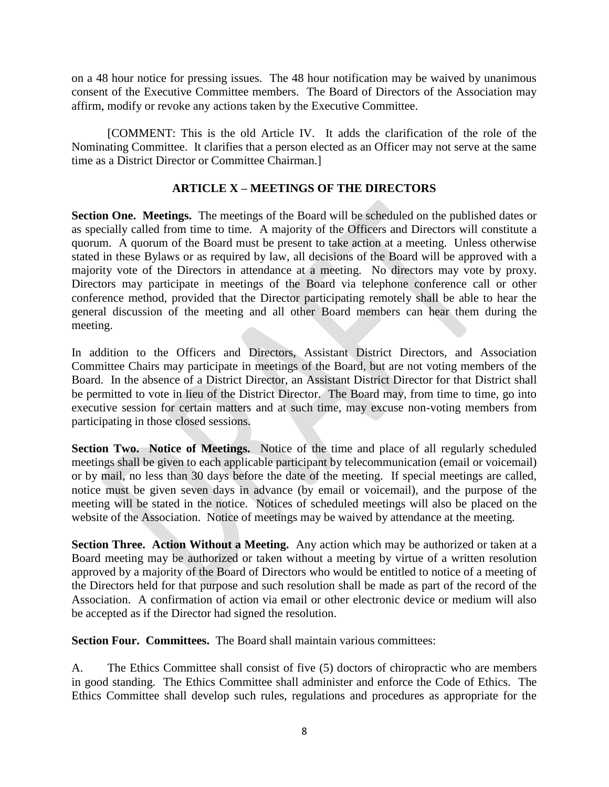on a 48 hour notice for pressing issues. The 48 hour notification may be waived by unanimous consent of the Executive Committee members. The Board of Directors of the Association may affirm, modify or revoke any actions taken by the Executive Committee.

[COMMENT: This is the old Article IV. It adds the clarification of the role of the Nominating Committee. It clarifies that a person elected as an Officer may not serve at the same time as a District Director or Committee Chairman.]

## **ARTICLE X – MEETINGS OF THE DIRECTORS**

**Section One. Meetings.** The meetings of the Board will be scheduled on the published dates or as specially called from time to time. A majority of the Officers and Directors will constitute a quorum. A quorum of the Board must be present to take action at a meeting. Unless otherwise stated in these Bylaws or as required by law, all decisions of the Board will be approved with a majority vote of the Directors in attendance at a meeting. No directors may vote by proxy. Directors may participate in meetings of the Board via telephone conference call or other conference method, provided that the Director participating remotely shall be able to hear the general discussion of the meeting and all other Board members can hear them during the meeting.

In addition to the Officers and Directors, Assistant District Directors, and Association Committee Chairs may participate in meetings of the Board, but are not voting members of the Board. In the absence of a District Director, an Assistant District Director for that District shall be permitted to vote in lieu of the District Director. The Board may, from time to time, go into executive session for certain matters and at such time, may excuse non-voting members from participating in those closed sessions.

**Section Two. Notice of Meetings.** Notice of the time and place of all regularly scheduled meetings shall be given to each applicable participant by telecommunication (email or voicemail) or by mail, no less than 30 days before the date of the meeting. If special meetings are called, notice must be given seven days in advance (by email or voicemail), and the purpose of the meeting will be stated in the notice. Notices of scheduled meetings will also be placed on the website of the Association. Notice of meetings may be waived by attendance at the meeting.

**Section Three. Action Without a Meeting.** Any action which may be authorized or taken at a Board meeting may be authorized or taken without a meeting by virtue of a written resolution approved by a majority of the Board of Directors who would be entitled to notice of a meeting of the Directors held for that purpose and such resolution shall be made as part of the record of the Association. A confirmation of action via email or other electronic device or medium will also be accepted as if the Director had signed the resolution.

**Section Four. Committees.** The Board shall maintain various committees:

A. The Ethics Committee shall consist of five (5) doctors of chiropractic who are members in good standing. The Ethics Committee shall administer and enforce the Code of Ethics. The Ethics Committee shall develop such rules, regulations and procedures as appropriate for the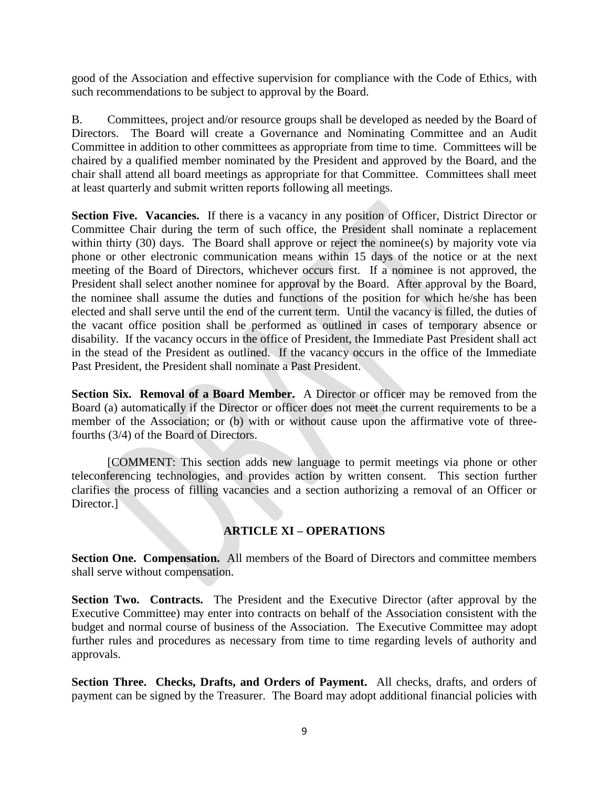good of the Association and effective supervision for compliance with the Code of Ethics, with such recommendations to be subject to approval by the Board.

B. Committees, project and/or resource groups shall be developed as needed by the Board of Directors. The Board will create a Governance and Nominating Committee and an Audit Committee in addition to other committees as appropriate from time to time. Committees will be chaired by a qualified member nominated by the President and approved by the Board, and the chair shall attend all board meetings as appropriate for that Committee. Committees shall meet at least quarterly and submit written reports following all meetings.

Section Five. Vacancies. If there is a vacancy in any position of Officer, District Director or Committee Chair during the term of such office, the President shall nominate a replacement within thirty (30) days. The Board shall approve or reject the nominee(s) by majority vote via phone or other electronic communication means within 15 days of the notice or at the next meeting of the Board of Directors, whichever occurs first. If a nominee is not approved, the President shall select another nominee for approval by the Board. After approval by the Board, the nominee shall assume the duties and functions of the position for which he/she has been elected and shall serve until the end of the current term. Until the vacancy is filled, the duties of the vacant office position shall be performed as outlined in cases of temporary absence or disability. If the vacancy occurs in the office of President, the Immediate Past President shall act in the stead of the President as outlined. If the vacancy occurs in the office of the Immediate Past President, the President shall nominate a Past President.

**Section Six. Removal of a Board Member.** A Director or officer may be removed from the Board (a) automatically if the Director or officer does not meet the current requirements to be a member of the Association; or (b) with or without cause upon the affirmative vote of threefourths (3/4) of the Board of Directors.

[COMMENT: This section adds new language to permit meetings via phone or other teleconferencing technologies, and provides action by written consent. This section further clarifies the process of filling vacancies and a section authorizing a removal of an Officer or Director.]

## **ARTICLE XI – OPERATIONS**

**Section One. Compensation.** All members of the Board of Directors and committee members shall serve without compensation.

**Section Two. Contracts.** The President and the Executive Director (after approval by the Executive Committee) may enter into contracts on behalf of the Association consistent with the budget and normal course of business of the Association. The Executive Committee may adopt further rules and procedures as necessary from time to time regarding levels of authority and approvals.

**Section Three. Checks, Drafts, and Orders of Payment.** All checks, drafts, and orders of payment can be signed by the Treasurer. The Board may adopt additional financial policies with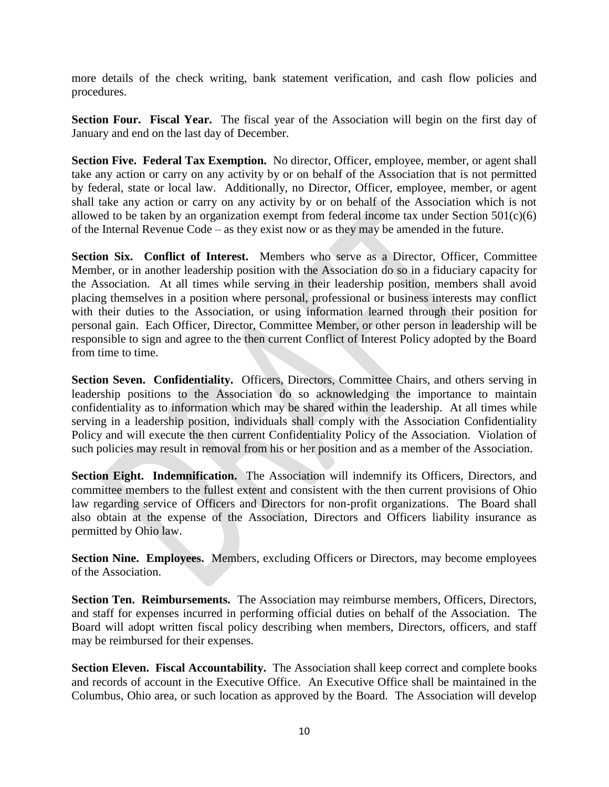more details of the check writing, bank statement verification, and cash flow policies and procedures.

**Section Four. Fiscal Year.** The fiscal year of the Association will begin on the first day of January and end on the last day of December.

**Section Five. Federal Tax Exemption.** No director, Officer, employee, member, or agent shall take any action or carry on any activity by or on behalf of the Association that is not permitted by federal, state or local law. Additionally, no Director, Officer, employee, member, or agent shall take any action or carry on any activity by or on behalf of the Association which is not allowed to be taken by an organization exempt from federal income tax under Section  $501(c)(6)$ of the Internal Revenue Code – as they exist now or as they may be amended in the future.

**Section Six. Conflict of Interest.** Members who serve as a Director, Officer, Committee Member, or in another leadership position with the Association do so in a fiduciary capacity for the Association. At all times while serving in their leadership position, members shall avoid placing themselves in a position where personal, professional or business interests may conflict with their duties to the Association, or using information learned through their position for personal gain. Each Officer, Director, Committee Member, or other person in leadership will be responsible to sign and agree to the then current Conflict of Interest Policy adopted by the Board from time to time.

Section Seven. Confidentiality. Officers, Directors, Committee Chairs, and others serving in leadership positions to the Association do so acknowledging the importance to maintain confidentiality as to information which may be shared within the leadership. At all times while serving in a leadership position, individuals shall comply with the Association Confidentiality Policy and will execute the then current Confidentiality Policy of the Association. Violation of such policies may result in removal from his or her position and as a member of the Association.

Section Eight. Indemnification. The Association will indemnify its Officers, Directors, and committee members to the fullest extent and consistent with the then current provisions of Ohio law regarding service of Officers and Directors for non-profit organizations. The Board shall also obtain at the expense of the Association, Directors and Officers liability insurance as permitted by Ohio law.

**Section Nine. Employees.** Members, excluding Officers or Directors, may become employees of the Association.

**Section Ten. Reimbursements.** The Association may reimburse members, Officers, Directors, and staff for expenses incurred in performing official duties on behalf of the Association. The Board will adopt written fiscal policy describing when members, Directors, officers, and staff may be reimbursed for their expenses.

**Section Eleven. Fiscal Accountability.** The Association shall keep correct and complete books and records of account in the Executive Office. An Executive Office shall be maintained in the Columbus, Ohio area, or such location as approved by the Board. The Association will develop